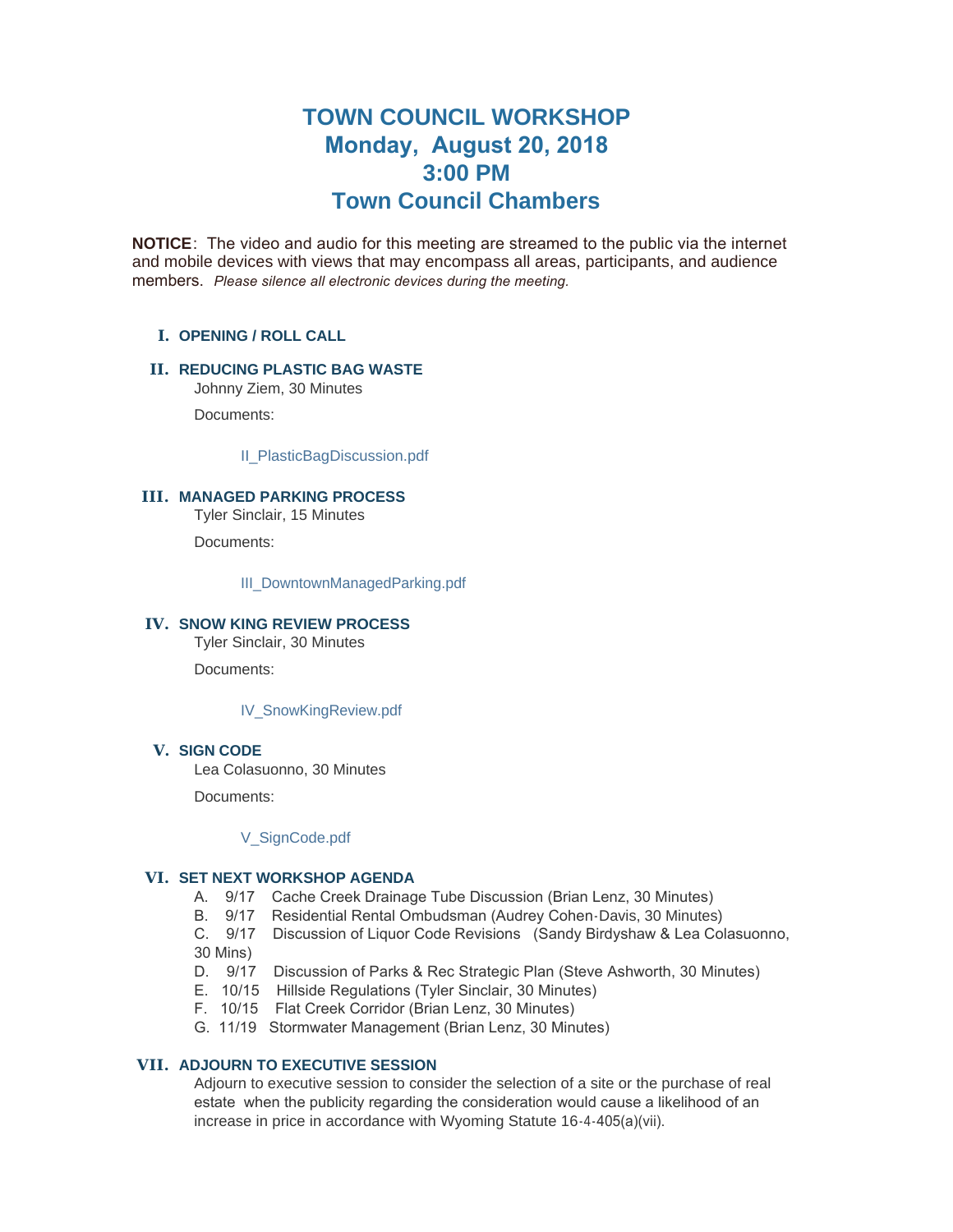# **TOWN COUNCIL WORKSHOP Monday, August 20, 2018 3:00 PM Town Council Chambers**

**NOTICE**: The video and audio for this meeting are streamed to the public via the internet and mobile devices with views that may encompass all areas, participants, and audience members. *Please silence all electronic devices during the meeting.* 

# **OPENING / ROLL CALL I.**

## **REDUCING PLASTIC BAG WASTE II.**

Johnny Ziem, 30 Minutes

Documents:

[II\\_PlasticBagDiscussion.pdf](https://www.jacksonwy.gov/AgendaCenter/ViewFile/Item/1458?fileID=3999)

#### **MANAGED PARKING PROCESS III.**

Tyler Sinclair, 15 Minutes

Documents:

[III\\_DowntownManagedParking.pdf](https://www.jacksonwy.gov/AgendaCenter/ViewFile/Item/1459?fileID=4000)

#### IV. SNOW KING REVIEW PROCESS

Tyler Sinclair, 30 Minutes

Documents:

[IV\\_SnowKingReview.pdf](https://www.jacksonwy.gov/AgendaCenter/ViewFile/Item/1460?fileID=4002)

# **SIGN CODE V.**

Lea Colasuonno, 30 Minutes

Documents:

#### [V\\_SignCode.pdf](https://www.jacksonwy.gov/AgendaCenter/ViewFile/Item/1461?fileID=4001)

## **SET NEXT WORKSHOP AGENDA VI.**

- A. 9/17 Cache Creek Drainage Tube Discussion (Brian Lenz, 30 Minutes)
- B. 9/17 Residential Rental Ombudsman (Audrey Cohen-Davis, 30 Minutes)

C. 9/17 Discussion of Liquor Code Revisions (Sandy Birdyshaw & Lea Colasuonno, 30 Mins)

- D. 9/17 Discussion of Parks & Rec Strategic Plan (Steve Ashworth, 30 Minutes)
- E. 10/15 Hillside Regulations (Tyler Sinclair, 30 Minutes)
- F. 10/15 Flat Creek Corridor (Brian Lenz, 30 Minutes)
- G. 11/19 Stormwater Management (Brian Lenz, 30 Minutes)

# **ADJOURN TO EXECUTIVE SESSION VII.**

Adjourn to executive session to consider the selection of a site or the purchase of real estate when the publicity regarding the consideration would cause a likelihood of an increase in price in accordance with Wyoming Statute 16-4-405(a)(vii).